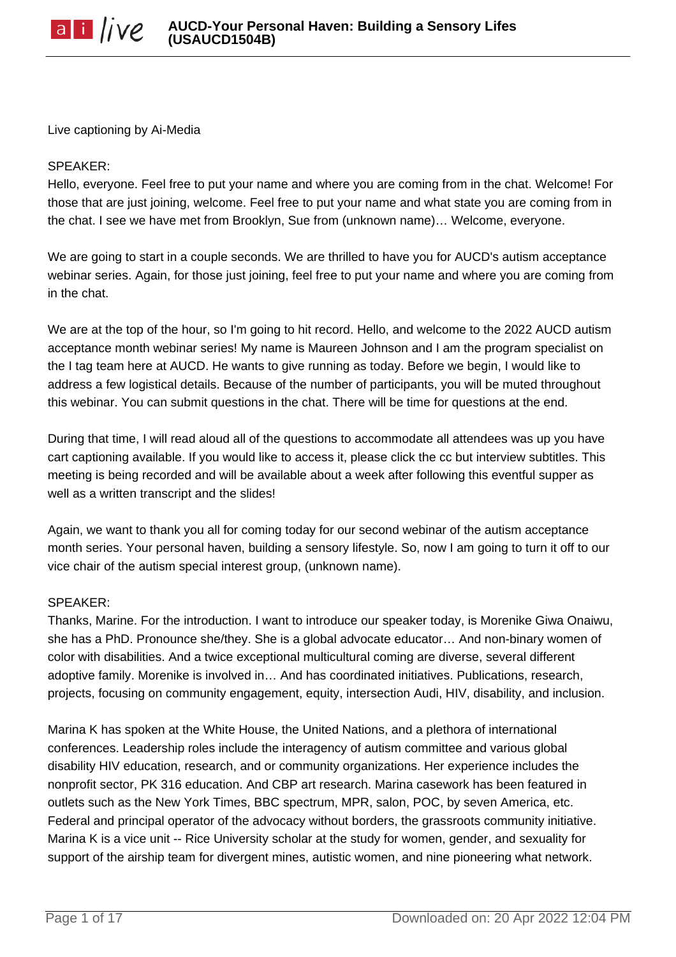Live captioning by Ai-Media

## SPEAKER:

Hello, everyone. Feel free to put your name and where you are coming from in the chat. Welcome! For those that are just joining, welcome. Feel free to put your name and what state you are coming from in the chat. I see we have met from Brooklyn, Sue from (unknown name)… Welcome, everyone.

We are going to start in a couple seconds. We are thrilled to have you for AUCD's autism acceptance webinar series. Again, for those just joining, feel free to put your name and where you are coming from in the chat.

We are at the top of the hour, so I'm going to hit record. Hello, and welcome to the 2022 AUCD autism acceptance month webinar series! My name is Maureen Johnson and I am the program specialist on the I tag team here at AUCD. He wants to give running as today. Before we begin, I would like to address a few logistical details. Because of the number of participants, you will be muted throughout this webinar. You can submit questions in the chat. There will be time for questions at the end.

During that time, I will read aloud all of the questions to accommodate all attendees was up you have cart captioning available. If you would like to access it, please click the cc but interview subtitles. This meeting is being recorded and will be available about a week after following this eventful supper as well as a written transcript and the slides!

Again, we want to thank you all for coming today for our second webinar of the autism acceptance month series. Your personal haven, building a sensory lifestyle. So, now I am going to turn it off to our vice chair of the autism special interest group, (unknown name).

## SPEAKER:

Thanks, Marine. For the introduction. I want to introduce our speaker today, is Morenike Giwa Onaiwu, she has a PhD. Pronounce she/they. She is a global advocate educator… And non-binary women of color with disabilities. And a twice exceptional multicultural coming are diverse, several different adoptive family. Morenike is involved in… And has coordinated initiatives. Publications, research, projects, focusing on community engagement, equity, intersection Audi, HIV, disability, and inclusion.

Marina K has spoken at the White House, the United Nations, and a plethora of international conferences. Leadership roles include the interagency of autism committee and various global disability HIV education, research, and or community organizations. Her experience includes the nonprofit sector, PK 316 education. And CBP art research. Marina casework has been featured in outlets such as the New York Times, BBC spectrum, MPR, salon, POC, by seven America, etc. Federal and principal operator of the advocacy without borders, the grassroots community initiative. Marina K is a vice unit -- Rice University scholar at the study for women, gender, and sexuality for support of the airship team for divergent mines, autistic women, and nine pioneering what network.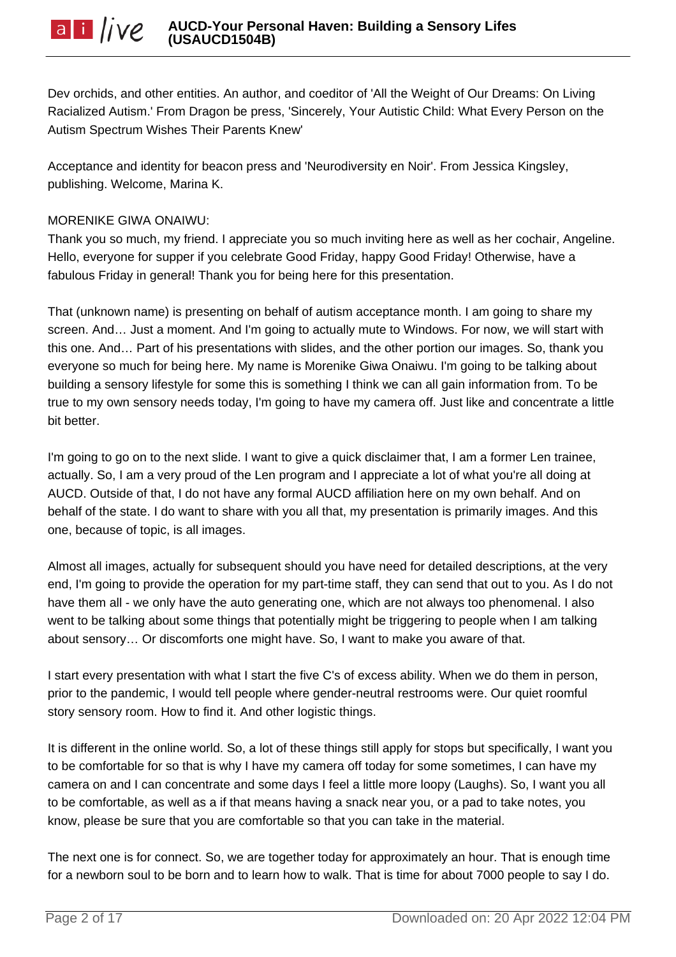Dev orchids, and other entities. An author, and coeditor of 'All the Weight of Our Dreams: On Living Racialized Autism.' From Dragon be press, 'Sincerely, Your Autistic Child: What Every Person on the Autism Spectrum Wishes Their Parents Knew'

Acceptance and identity for beacon press and 'Neurodiversity en Noir'. From Jessica Kingsley, publishing. Welcome, Marina K.

# MORENIKE GIWA ONAIWU:

Thank you so much, my friend. I appreciate you so much inviting here as well as her cochair, Angeline. Hello, everyone for supper if you celebrate Good Friday, happy Good Friday! Otherwise, have a fabulous Friday in general! Thank you for being here for this presentation.

That (unknown name) is presenting on behalf of autism acceptance month. I am going to share my screen. And… Just a moment. And I'm going to actually mute to Windows. For now, we will start with this one. And… Part of his presentations with slides, and the other portion our images. So, thank you everyone so much for being here. My name is Morenike Giwa Onaiwu. I'm going to be talking about building a sensory lifestyle for some this is something I think we can all gain information from. To be true to my own sensory needs today, I'm going to have my camera off. Just like and concentrate a little bit better.

I'm going to go on to the next slide. I want to give a quick disclaimer that, I am a former Len trainee, actually. So, I am a very proud of the Len program and I appreciate a lot of what you're all doing at AUCD. Outside of that, I do not have any formal AUCD affiliation here on my own behalf. And on behalf of the state. I do want to share with you all that, my presentation is primarily images. And this one, because of topic, is all images.

Almost all images, actually for subsequent should you have need for detailed descriptions, at the very end, I'm going to provide the operation for my part-time staff, they can send that out to you. As I do not have them all - we only have the auto generating one, which are not always too phenomenal. I also went to be talking about some things that potentially might be triggering to people when I am talking about sensory… Or discomforts one might have. So, I want to make you aware of that.

I start every presentation with what I start the five C's of excess ability. When we do them in person, prior to the pandemic, I would tell people where gender-neutral restrooms were. Our quiet roomful story sensory room. How to find it. And other logistic things.

It is different in the online world. So, a lot of these things still apply for stops but specifically, I want you to be comfortable for so that is why I have my camera off today for some sometimes, I can have my camera on and I can concentrate and some days I feel a little more loopy (Laughs). So, I want you all to be comfortable, as well as a if that means having a snack near you, or a pad to take notes, you know, please be sure that you are comfortable so that you can take in the material.

The next one is for connect. So, we are together today for approximately an hour. That is enough time for a newborn soul to be born and to learn how to walk. That is time for about 7000 people to say I do.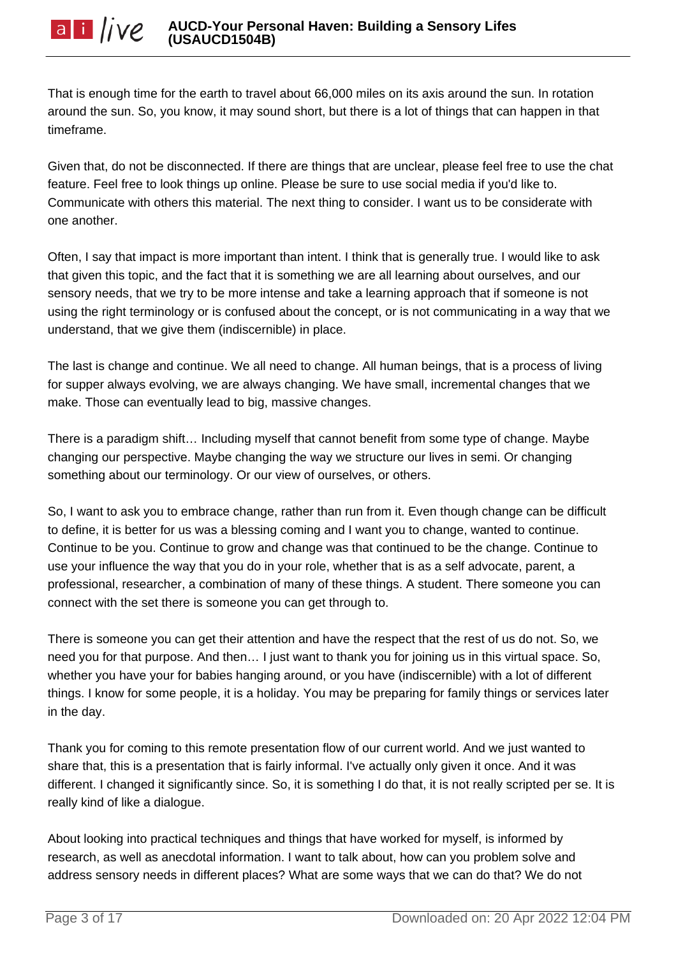That is enough time for the earth to travel about 66,000 miles on its axis around the sun. In rotation around the sun. So, you know, it may sound short, but there is a lot of things that can happen in that timeframe.

Given that, do not be disconnected. If there are things that are unclear, please feel free to use the chat feature. Feel free to look things up online. Please be sure to use social media if you'd like to. Communicate with others this material. The next thing to consider. I want us to be considerate with one another.

Often, I say that impact is more important than intent. I think that is generally true. I would like to ask that given this topic, and the fact that it is something we are all learning about ourselves, and our sensory needs, that we try to be more intense and take a learning approach that if someone is not using the right terminology or is confused about the concept, or is not communicating in a way that we understand, that we give them (indiscernible) in place.

The last is change and continue. We all need to change. All human beings, that is a process of living for supper always evolving, we are always changing. We have small, incremental changes that we make. Those can eventually lead to big, massive changes.

There is a paradigm shift… Including myself that cannot benefit from some type of change. Maybe changing our perspective. Maybe changing the way we structure our lives in semi. Or changing something about our terminology. Or our view of ourselves, or others.

So, I want to ask you to embrace change, rather than run from it. Even though change can be difficult to define, it is better for us was a blessing coming and I want you to change, wanted to continue. Continue to be you. Continue to grow and change was that continued to be the change. Continue to use your influence the way that you do in your role, whether that is as a self advocate, parent, a professional, researcher, a combination of many of these things. A student. There someone you can connect with the set there is someone you can get through to.

There is someone you can get their attention and have the respect that the rest of us do not. So, we need you for that purpose. And then… I just want to thank you for joining us in this virtual space. So, whether you have your for babies hanging around, or you have (indiscernible) with a lot of different things. I know for some people, it is a holiday. You may be preparing for family things or services later in the day.

Thank you for coming to this remote presentation flow of our current world. And we just wanted to share that, this is a presentation that is fairly informal. I've actually only given it once. And it was different. I changed it significantly since. So, it is something I do that, it is not really scripted per se. It is really kind of like a dialogue.

About looking into practical techniques and things that have worked for myself, is informed by research, as well as anecdotal information. I want to talk about, how can you problem solve and address sensory needs in different places? What are some ways that we can do that? We do not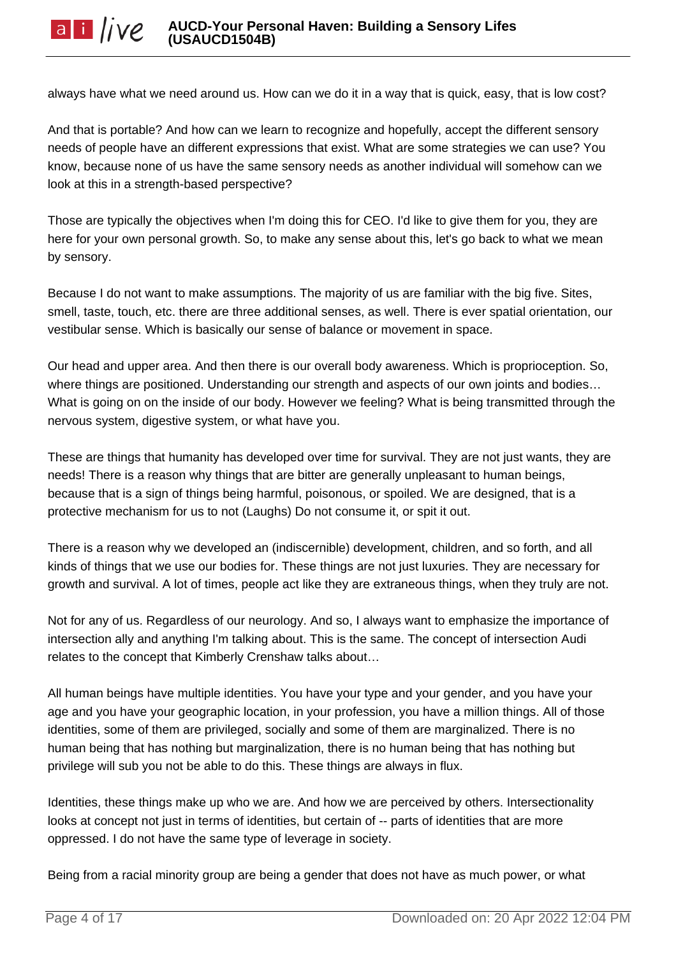always have what we need around us. How can we do it in a way that is quick, easy, that is low cost?

And that is portable? And how can we learn to recognize and hopefully, accept the different sensory needs of people have an different expressions that exist. What are some strategies we can use? You know, because none of us have the same sensory needs as another individual will somehow can we look at this in a strength-based perspective?

Those are typically the objectives when I'm doing this for CEO. I'd like to give them for you, they are here for your own personal growth. So, to make any sense about this, let's go back to what we mean by sensory.

Because I do not want to make assumptions. The majority of us are familiar with the big five. Sites, smell, taste, touch, etc. there are three additional senses, as well. There is ever spatial orientation, our vestibular sense. Which is basically our sense of balance or movement in space.

Our head and upper area. And then there is our overall body awareness. Which is proprioception. So, where things are positioned. Understanding our strength and aspects of our own joints and bodies... What is going on on the inside of our body. However we feeling? What is being transmitted through the nervous system, digestive system, or what have you.

These are things that humanity has developed over time for survival. They are not just wants, they are needs! There is a reason why things that are bitter are generally unpleasant to human beings, because that is a sign of things being harmful, poisonous, or spoiled. We are designed, that is a protective mechanism for us to not (Laughs) Do not consume it, or spit it out.

There is a reason why we developed an (indiscernible) development, children, and so forth, and all kinds of things that we use our bodies for. These things are not just luxuries. They are necessary for growth and survival. A lot of times, people act like they are extraneous things, when they truly are not.

Not for any of us. Regardless of our neurology. And so, I always want to emphasize the importance of intersection ally and anything I'm talking about. This is the same. The concept of intersection Audi relates to the concept that Kimberly Crenshaw talks about…

All human beings have multiple identities. You have your type and your gender, and you have your age and you have your geographic location, in your profession, you have a million things. All of those identities, some of them are privileged, socially and some of them are marginalized. There is no human being that has nothing but marginalization, there is no human being that has nothing but privilege will sub you not be able to do this. These things are always in flux.

Identities, these things make up who we are. And how we are perceived by others. Intersectionality looks at concept not just in terms of identities, but certain of -- parts of identities that are more oppressed. I do not have the same type of leverage in society.

Being from a racial minority group are being a gender that does not have as much power, or what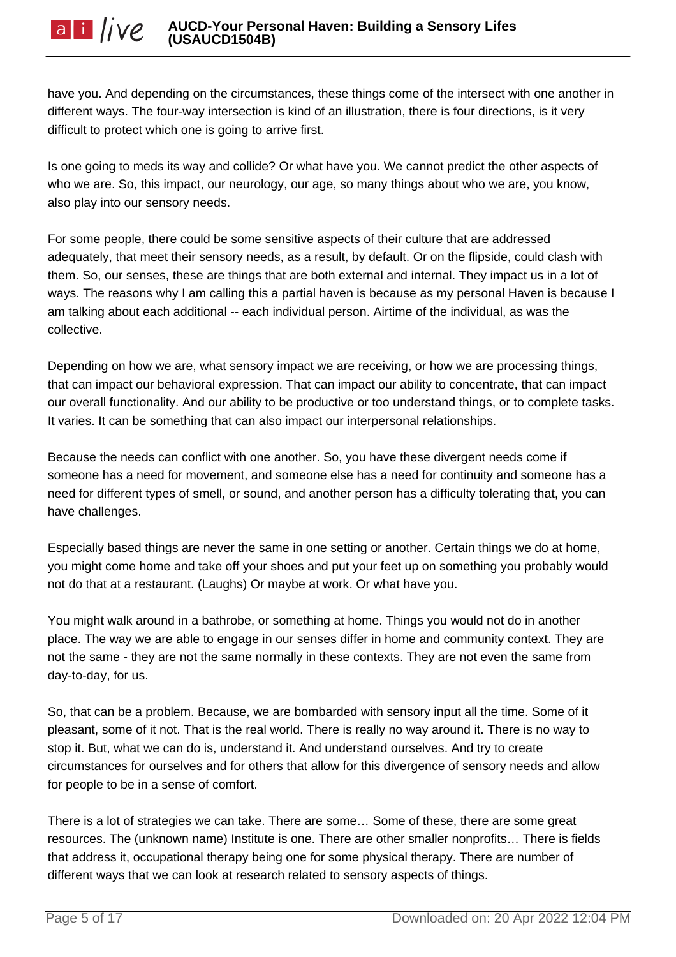have you. And depending on the circumstances, these things come of the intersect with one another in different ways. The four-way intersection is kind of an illustration, there is four directions, is it very difficult to protect which one is going to arrive first.

Is one going to meds its way and collide? Or what have you. We cannot predict the other aspects of who we are. So, this impact, our neurology, our age, so many things about who we are, you know, also play into our sensory needs.

For some people, there could be some sensitive aspects of their culture that are addressed adequately, that meet their sensory needs, as a result, by default. Or on the flipside, could clash with them. So, our senses, these are things that are both external and internal. They impact us in a lot of ways. The reasons why I am calling this a partial haven is because as my personal Haven is because I am talking about each additional -- each individual person. Airtime of the individual, as was the collective.

Depending on how we are, what sensory impact we are receiving, or how we are processing things, that can impact our behavioral expression. That can impact our ability to concentrate, that can impact our overall functionality. And our ability to be productive or too understand things, or to complete tasks. It varies. It can be something that can also impact our interpersonal relationships.

Because the needs can conflict with one another. So, you have these divergent needs come if someone has a need for movement, and someone else has a need for continuity and someone has a need for different types of smell, or sound, and another person has a difficulty tolerating that, you can have challenges.

Especially based things are never the same in one setting or another. Certain things we do at home, you might come home and take off your shoes and put your feet up on something you probably would not do that at a restaurant. (Laughs) Or maybe at work. Or what have you.

You might walk around in a bathrobe, or something at home. Things you would not do in another place. The way we are able to engage in our senses differ in home and community context. They are not the same - they are not the same normally in these contexts. They are not even the same from day-to-day, for us.

So, that can be a problem. Because, we are bombarded with sensory input all the time. Some of it pleasant, some of it not. That is the real world. There is really no way around it. There is no way to stop it. But, what we can do is, understand it. And understand ourselves. And try to create circumstances for ourselves and for others that allow for this divergence of sensory needs and allow for people to be in a sense of comfort.

There is a lot of strategies we can take. There are some… Some of these, there are some great resources. The (unknown name) Institute is one. There are other smaller nonprofits… There is fields that address it, occupational therapy being one for some physical therapy. There are number of different ways that we can look at research related to sensory aspects of things.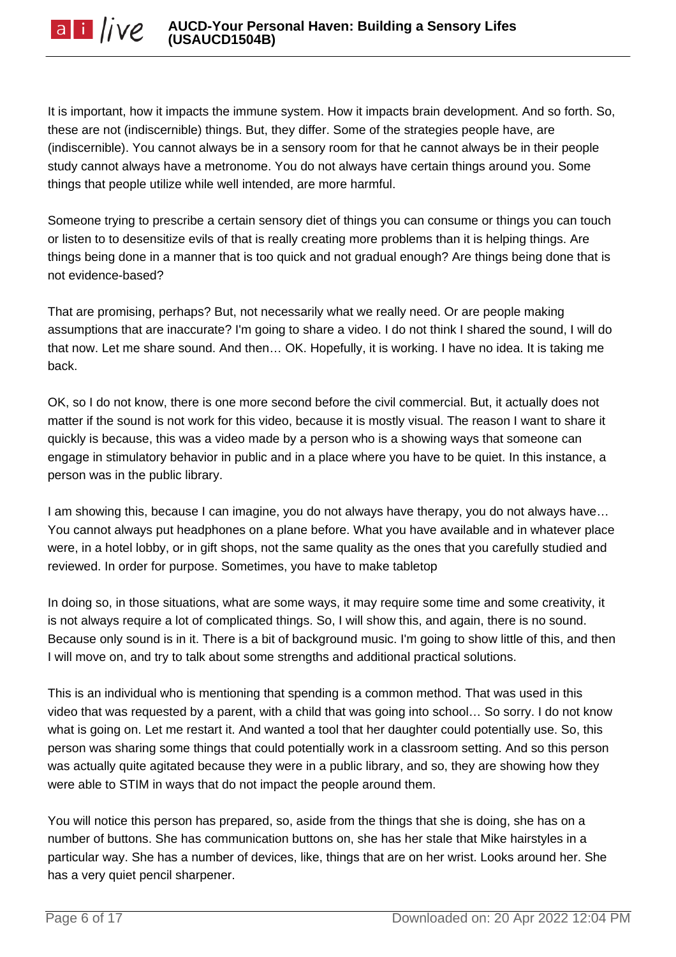It is important, how it impacts the immune system. How it impacts brain development. And so forth. So, these are not (indiscernible) things. But, they differ. Some of the strategies people have, are (indiscernible). You cannot always be in a sensory room for that he cannot always be in their people study cannot always have a metronome. You do not always have certain things around you. Some things that people utilize while well intended, are more harmful.

Someone trying to prescribe a certain sensory diet of things you can consume or things you can touch or listen to to desensitize evils of that is really creating more problems than it is helping things. Are things being done in a manner that is too quick and not gradual enough? Are things being done that is not evidence-based?

That are promising, perhaps? But, not necessarily what we really need. Or are people making assumptions that are inaccurate? I'm going to share a video. I do not think I shared the sound, I will do that now. Let me share sound. And then… OK. Hopefully, it is working. I have no idea. It is taking me back.

OK, so I do not know, there is one more second before the civil commercial. But, it actually does not matter if the sound is not work for this video, because it is mostly visual. The reason I want to share it quickly is because, this was a video made by a person who is a showing ways that someone can engage in stimulatory behavior in public and in a place where you have to be quiet. In this instance, a person was in the public library.

I am showing this, because I can imagine, you do not always have therapy, you do not always have… You cannot always put headphones on a plane before. What you have available and in whatever place were, in a hotel lobby, or in gift shops, not the same quality as the ones that you carefully studied and reviewed. In order for purpose. Sometimes, you have to make tabletop

In doing so, in those situations, what are some ways, it may require some time and some creativity, it is not always require a lot of complicated things. So, I will show this, and again, there is no sound. Because only sound is in it. There is a bit of background music. I'm going to show little of this, and then I will move on, and try to talk about some strengths and additional practical solutions.

This is an individual who is mentioning that spending is a common method. That was used in this video that was requested by a parent, with a child that was going into school… So sorry. I do not know what is going on. Let me restart it. And wanted a tool that her daughter could potentially use. So, this person was sharing some things that could potentially work in a classroom setting. And so this person was actually quite agitated because they were in a public library, and so, they are showing how they were able to STIM in ways that do not impact the people around them.

You will notice this person has prepared, so, aside from the things that she is doing, she has on a number of buttons. She has communication buttons on, she has her stale that Mike hairstyles in a particular way. She has a number of devices, like, things that are on her wrist. Looks around her. She has a very quiet pencil sharpener.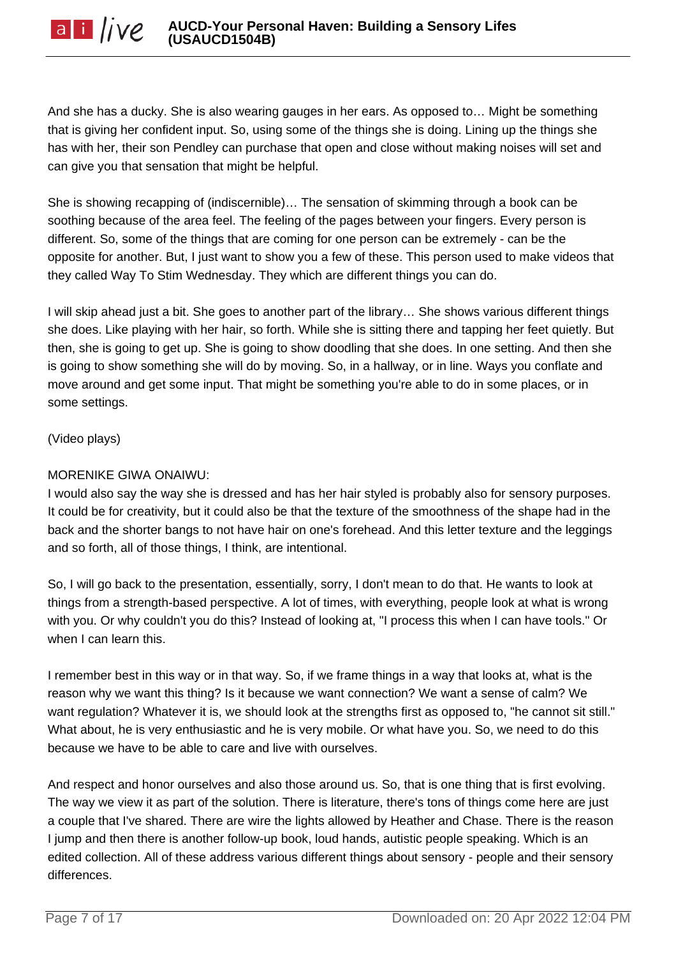And she has a ducky. She is also wearing gauges in her ears. As opposed to… Might be something that is giving her confident input. So, using some of the things she is doing. Lining up the things she has with her, their son Pendley can purchase that open and close without making noises will set and can give you that sensation that might be helpful.

She is showing recapping of (indiscernible)… The sensation of skimming through a book can be soothing because of the area feel. The feeling of the pages between your fingers. Every person is different. So, some of the things that are coming for one person can be extremely - can be the opposite for another. But, I just want to show you a few of these. This person used to make videos that they called Way To Stim Wednesday. They which are different things you can do.

I will skip ahead just a bit. She goes to another part of the library… She shows various different things she does. Like playing with her hair, so forth. While she is sitting there and tapping her feet quietly. But then, she is going to get up. She is going to show doodling that she does. In one setting. And then she is going to show something she will do by moving. So, in a hallway, or in line. Ways you conflate and move around and get some input. That might be something you're able to do in some places, or in some settings.

(Video plays)

# MORENIKE GIWA ONAIWU:

I would also say the way she is dressed and has her hair styled is probably also for sensory purposes. It could be for creativity, but it could also be that the texture of the smoothness of the shape had in the back and the shorter bangs to not have hair on one's forehead. And this letter texture and the leggings and so forth, all of those things, I think, are intentional.

So, I will go back to the presentation, essentially, sorry, I don't mean to do that. He wants to look at things from a strength-based perspective. A lot of times, with everything, people look at what is wrong with you. Or why couldn't you do this? Instead of looking at, "I process this when I can have tools." Or when I can learn this.

I remember best in this way or in that way. So, if we frame things in a way that looks at, what is the reason why we want this thing? Is it because we want connection? We want a sense of calm? We want regulation? Whatever it is, we should look at the strengths first as opposed to, "he cannot sit still." What about, he is very enthusiastic and he is very mobile. Or what have you. So, we need to do this because we have to be able to care and live with ourselves.

And respect and honor ourselves and also those around us. So, that is one thing that is first evolving. The way we view it as part of the solution. There is literature, there's tons of things come here are just a couple that I've shared. There are wire the lights allowed by Heather and Chase. There is the reason I jump and then there is another follow-up book, loud hands, autistic people speaking. Which is an edited collection. All of these address various different things about sensory - people and their sensory differences.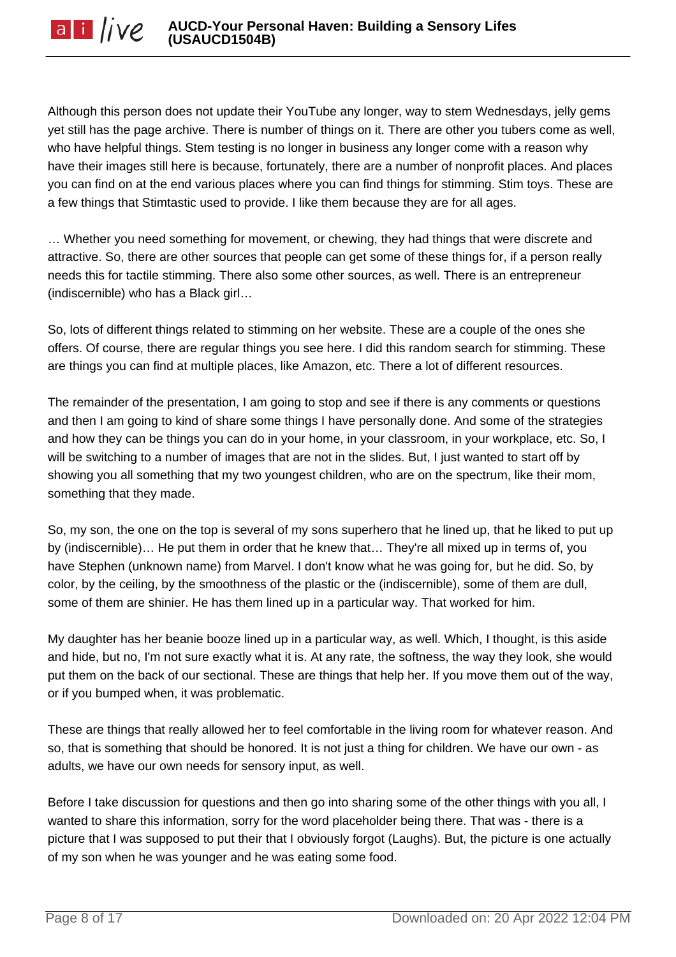Although this person does not update their YouTube any longer, way to stem Wednesdays, jelly gems yet still has the page archive. There is number of things on it. There are other you tubers come as well, who have helpful things. Stem testing is no longer in business any longer come with a reason why have their images still here is because, fortunately, there are a number of nonprofit places. And places you can find on at the end various places where you can find things for stimming. Stim toys. These are a few things that Stimtastic used to provide. I like them because they are for all ages.

… Whether you need something for movement, or chewing, they had things that were discrete and attractive. So, there are other sources that people can get some of these things for, if a person really needs this for tactile stimming. There also some other sources, as well. There is an entrepreneur (indiscernible) who has a Black girl…

So, lots of different things related to stimming on her website. These are a couple of the ones she offers. Of course, there are regular things you see here. I did this random search for stimming. These are things you can find at multiple places, like Amazon, etc. There a lot of different resources.

The remainder of the presentation, I am going to stop and see if there is any comments or questions and then I am going to kind of share some things I have personally done. And some of the strategies and how they can be things you can do in your home, in your classroom, in your workplace, etc. So, I will be switching to a number of images that are not in the slides. But, I just wanted to start off by showing you all something that my two youngest children, who are on the spectrum, like their mom, something that they made.

So, my son, the one on the top is several of my sons superhero that he lined up, that he liked to put up by (indiscernible)… He put them in order that he knew that… They're all mixed up in terms of, you have Stephen (unknown name) from Marvel. I don't know what he was going for, but he did. So, by color, by the ceiling, by the smoothness of the plastic or the (indiscernible), some of them are dull, some of them are shinier. He has them lined up in a particular way. That worked for him.

My daughter has her beanie booze lined up in a particular way, as well. Which, I thought, is this aside and hide, but no, I'm not sure exactly what it is. At any rate, the softness, the way they look, she would put them on the back of our sectional. These are things that help her. If you move them out of the way, or if you bumped when, it was problematic.

These are things that really allowed her to feel comfortable in the living room for whatever reason. And so, that is something that should be honored. It is not just a thing for children. We have our own - as adults, we have our own needs for sensory input, as well.

Before I take discussion for questions and then go into sharing some of the other things with you all, I wanted to share this information, sorry for the word placeholder being there. That was - there is a picture that I was supposed to put their that I obviously forgot (Laughs). But, the picture is one actually of my son when he was younger and he was eating some food.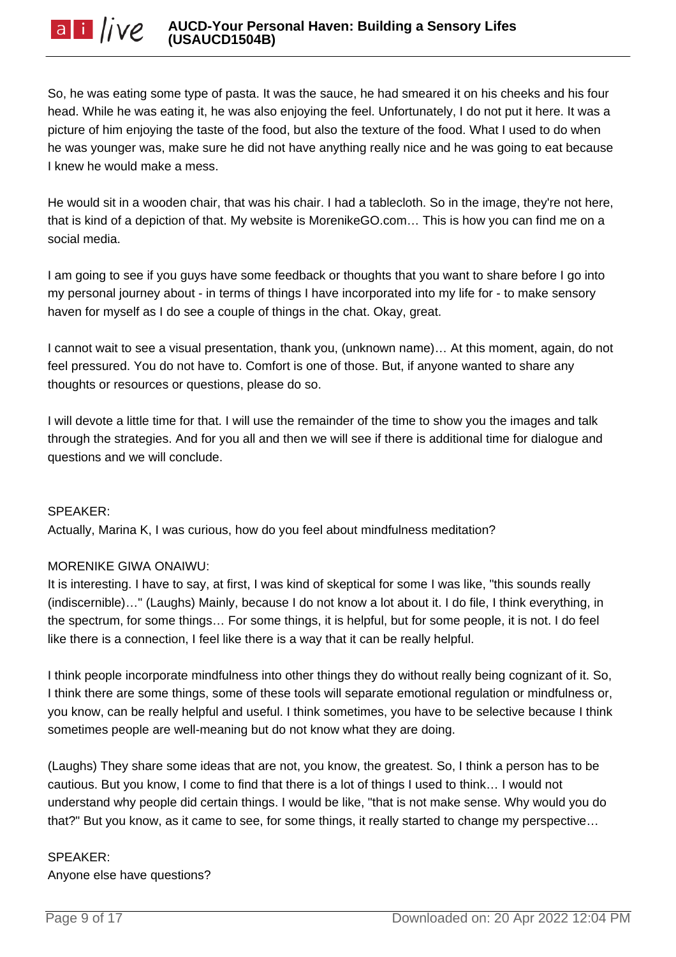So, he was eating some type of pasta. It was the sauce, he had smeared it on his cheeks and his four head. While he was eating it, he was also enjoying the feel. Unfortunately, I do not put it here. It was a picture of him enjoying the taste of the food, but also the texture of the food. What I used to do when he was younger was, make sure he did not have anything really nice and he was going to eat because I knew he would make a mess.

He would sit in a wooden chair, that was his chair. I had a tablecloth. So in the image, they're not here, that is kind of a depiction of that. My website is MorenikeGO.com… This is how you can find me on a social media.

I am going to see if you guys have some feedback or thoughts that you want to share before I go into my personal journey about - in terms of things I have incorporated into my life for - to make sensory haven for myself as I do see a couple of things in the chat. Okay, great.

I cannot wait to see a visual presentation, thank you, (unknown name)… At this moment, again, do not feel pressured. You do not have to. Comfort is one of those. But, if anyone wanted to share any thoughts or resources or questions, please do so.

I will devote a little time for that. I will use the remainder of the time to show you the images and talk through the strategies. And for you all and then we will see if there is additional time for dialogue and questions and we will conclude.

# SPEAKER:

Actually, Marina K, I was curious, how do you feel about mindfulness meditation?

# MORENIKE GIWA ONAIWU:

It is interesting. I have to say, at first, I was kind of skeptical for some I was like, "this sounds really (indiscernible)…" (Laughs) Mainly, because I do not know a lot about it. I do file, I think everything, in the spectrum, for some things… For some things, it is helpful, but for some people, it is not. I do feel like there is a connection, I feel like there is a way that it can be really helpful.

I think people incorporate mindfulness into other things they do without really being cognizant of it. So, I think there are some things, some of these tools will separate emotional regulation or mindfulness or, you know, can be really helpful and useful. I think sometimes, you have to be selective because I think sometimes people are well-meaning but do not know what they are doing.

(Laughs) They share some ideas that are not, you know, the greatest. So, I think a person has to be cautious. But you know, I come to find that there is a lot of things I used to think… I would not understand why people did certain things. I would be like, "that is not make sense. Why would you do that?" But you know, as it came to see, for some things, it really started to change my perspective…

# SPEAKER:

Anyone else have questions?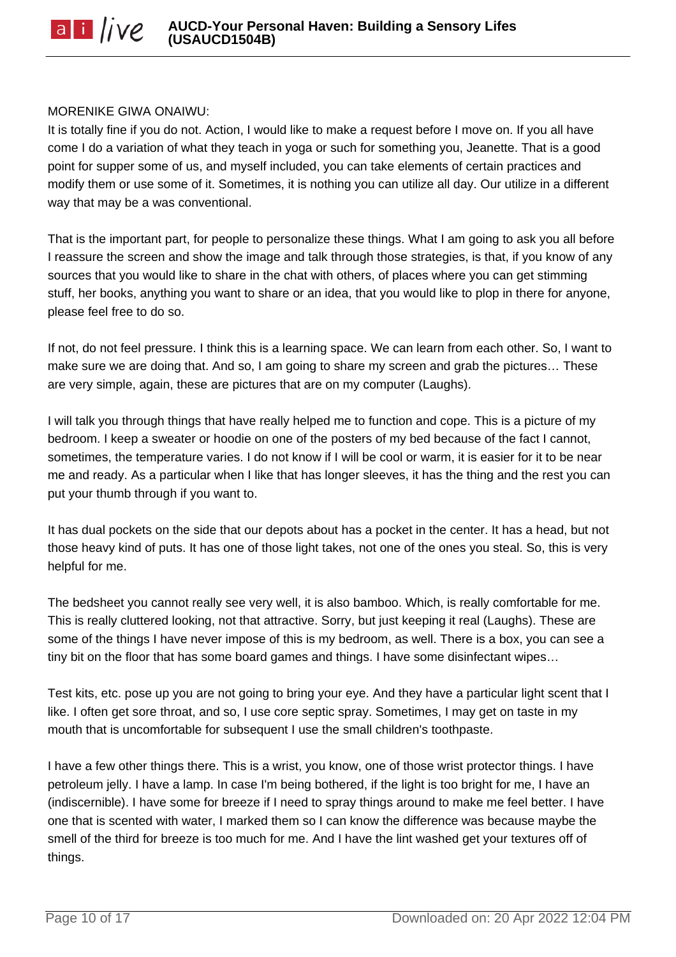#### MORENIKE GIWA ONAIWU:

It is totally fine if you do not. Action, I would like to make a request before I move on. If you all have come I do a variation of what they teach in yoga or such for something you, Jeanette. That is a good point for supper some of us, and myself included, you can take elements of certain practices and modify them or use some of it. Sometimes, it is nothing you can utilize all day. Our utilize in a different way that may be a was conventional.

That is the important part, for people to personalize these things. What I am going to ask you all before I reassure the screen and show the image and talk through those strategies, is that, if you know of any sources that you would like to share in the chat with others, of places where you can get stimming stuff, her books, anything you want to share or an idea, that you would like to plop in there for anyone, please feel free to do so.

If not, do not feel pressure. I think this is a learning space. We can learn from each other. So, I want to make sure we are doing that. And so, I am going to share my screen and grab the pictures… These are very simple, again, these are pictures that are on my computer (Laughs).

I will talk you through things that have really helped me to function and cope. This is a picture of my bedroom. I keep a sweater or hoodie on one of the posters of my bed because of the fact I cannot, sometimes, the temperature varies. I do not know if I will be cool or warm, it is easier for it to be near me and ready. As a particular when I like that has longer sleeves, it has the thing and the rest you can put your thumb through if you want to.

It has dual pockets on the side that our depots about has a pocket in the center. It has a head, but not those heavy kind of puts. It has one of those light takes, not one of the ones you steal. So, this is very helpful for me.

The bedsheet you cannot really see very well, it is also bamboo. Which, is really comfortable for me. This is really cluttered looking, not that attractive. Sorry, but just keeping it real (Laughs). These are some of the things I have never impose of this is my bedroom, as well. There is a box, you can see a tiny bit on the floor that has some board games and things. I have some disinfectant wipes…

Test kits, etc. pose up you are not going to bring your eye. And they have a particular light scent that I like. I often get sore throat, and so, I use core septic spray. Sometimes, I may get on taste in my mouth that is uncomfortable for subsequent I use the small children's toothpaste.

I have a few other things there. This is a wrist, you know, one of those wrist protector things. I have petroleum jelly. I have a lamp. In case I'm being bothered, if the light is too bright for me, I have an (indiscernible). I have some for breeze if I need to spray things around to make me feel better. I have one that is scented with water, I marked them so I can know the difference was because maybe the smell of the third for breeze is too much for me. And I have the lint washed get your textures off of things.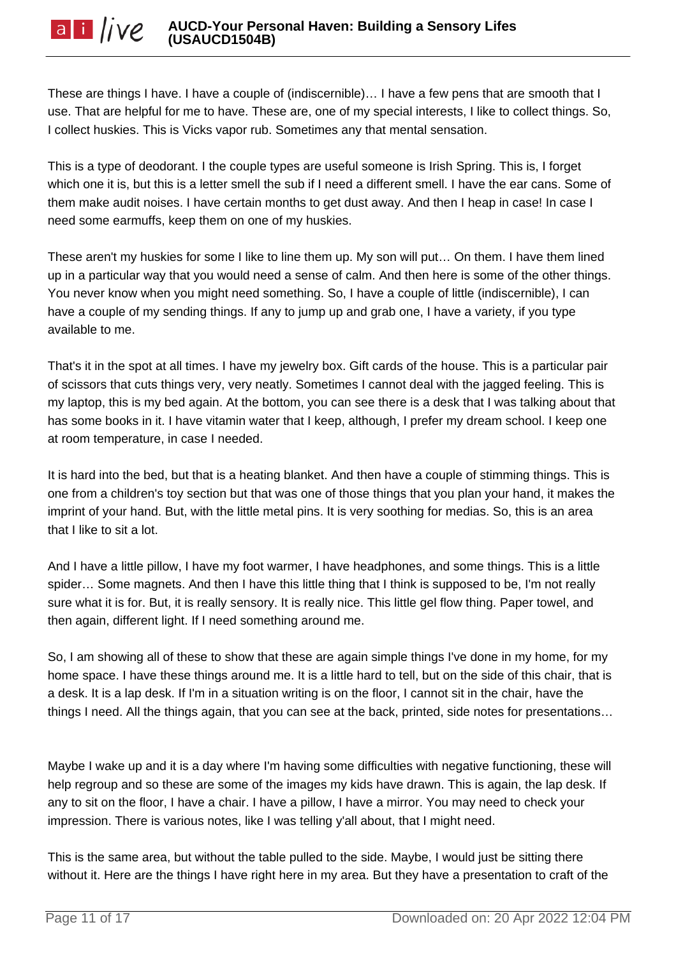These are things I have. I have a couple of (indiscernible)… I have a few pens that are smooth that I use. That are helpful for me to have. These are, one of my special interests, I like to collect things. So, I collect huskies. This is Vicks vapor rub. Sometimes any that mental sensation.

This is a type of deodorant. I the couple types are useful someone is Irish Spring. This is, I forget which one it is, but this is a letter smell the sub if I need a different smell. I have the ear cans. Some of them make audit noises. I have certain months to get dust away. And then I heap in case! In case I need some earmuffs, keep them on one of my huskies.

These aren't my huskies for some I like to line them up. My son will put… On them. I have them lined up in a particular way that you would need a sense of calm. And then here is some of the other things. You never know when you might need something. So, I have a couple of little (indiscernible), I can have a couple of my sending things. If any to jump up and grab one, I have a variety, if you type available to me.

That's it in the spot at all times. I have my jewelry box. Gift cards of the house. This is a particular pair of scissors that cuts things very, very neatly. Sometimes I cannot deal with the jagged feeling. This is my laptop, this is my bed again. At the bottom, you can see there is a desk that I was talking about that has some books in it. I have vitamin water that I keep, although, I prefer my dream school. I keep one at room temperature, in case I needed.

It is hard into the bed, but that is a heating blanket. And then have a couple of stimming things. This is one from a children's toy section but that was one of those things that you plan your hand, it makes the imprint of your hand. But, with the little metal pins. It is very soothing for medias. So, this is an area that I like to sit a lot.

And I have a little pillow, I have my foot warmer, I have headphones, and some things. This is a little spider... Some magnets. And then I have this little thing that I think is supposed to be, I'm not really sure what it is for. But, it is really sensory. It is really nice. This little gel flow thing. Paper towel, and then again, different light. If I need something around me.

So, I am showing all of these to show that these are again simple things I've done in my home, for my home space. I have these things around me. It is a little hard to tell, but on the side of this chair, that is a desk. It is a lap desk. If I'm in a situation writing is on the floor, I cannot sit in the chair, have the things I need. All the things again, that you can see at the back, printed, side notes for presentations…

Maybe I wake up and it is a day where I'm having some difficulties with negative functioning, these will help regroup and so these are some of the images my kids have drawn. This is again, the lap desk. If any to sit on the floor, I have a chair. I have a pillow, I have a mirror. You may need to check your impression. There is various notes, like I was telling y'all about, that I might need.

This is the same area, but without the table pulled to the side. Maybe, I would just be sitting there without it. Here are the things I have right here in my area. But they have a presentation to craft of the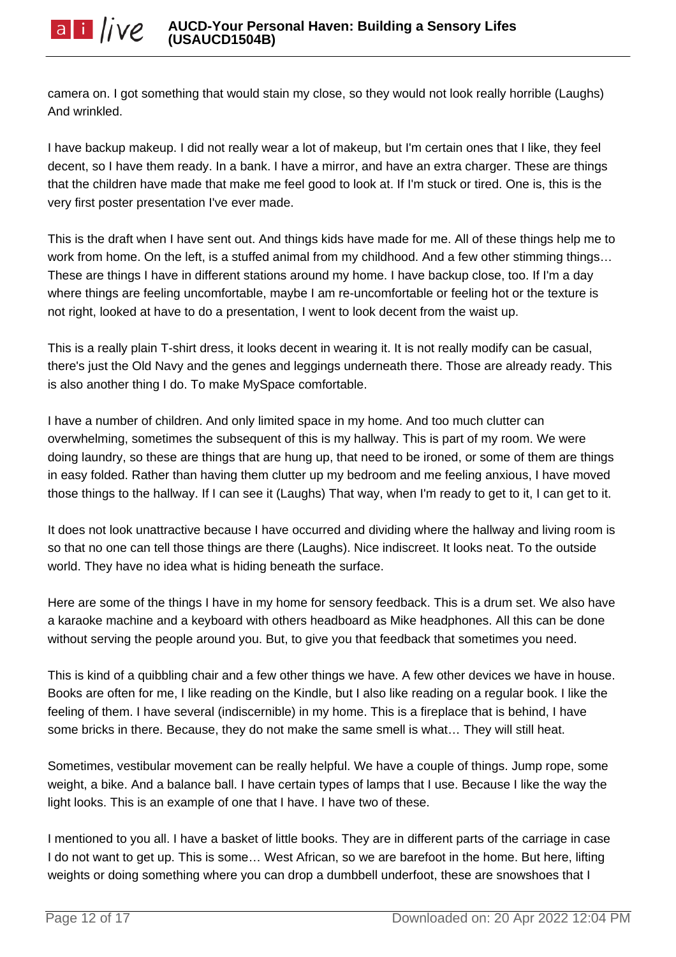camera on. I got something that would stain my close, so they would not look really horrible (Laughs) And wrinkled.

I have backup makeup. I did not really wear a lot of makeup, but I'm certain ones that I like, they feel decent, so I have them ready. In a bank. I have a mirror, and have an extra charger. These are things that the children have made that make me feel good to look at. If I'm stuck or tired. One is, this is the very first poster presentation I've ever made.

This is the draft when I have sent out. And things kids have made for me. All of these things help me to work from home. On the left, is a stuffed animal from my childhood. And a few other stimming things… These are things I have in different stations around my home. I have backup close, too. If I'm a day where things are feeling uncomfortable, maybe I am re-uncomfortable or feeling hot or the texture is not right, looked at have to do a presentation, I went to look decent from the waist up.

This is a really plain T-shirt dress, it looks decent in wearing it. It is not really modify can be casual, there's just the Old Navy and the genes and leggings underneath there. Those are already ready. This is also another thing I do. To make MySpace comfortable.

I have a number of children. And only limited space in my home. And too much clutter can overwhelming, sometimes the subsequent of this is my hallway. This is part of my room. We were doing laundry, so these are things that are hung up, that need to be ironed, or some of them are things in easy folded. Rather than having them clutter up my bedroom and me feeling anxious, I have moved those things to the hallway. If I can see it (Laughs) That way, when I'm ready to get to it, I can get to it.

It does not look unattractive because I have occurred and dividing where the hallway and living room is so that no one can tell those things are there (Laughs). Nice indiscreet. It looks neat. To the outside world. They have no idea what is hiding beneath the surface.

Here are some of the things I have in my home for sensory feedback. This is a drum set. We also have a karaoke machine and a keyboard with others headboard as Mike headphones. All this can be done without serving the people around you. But, to give you that feedback that sometimes you need.

This is kind of a quibbling chair and a few other things we have. A few other devices we have in house. Books are often for me, I like reading on the Kindle, but I also like reading on a regular book. I like the feeling of them. I have several (indiscernible) in my home. This is a fireplace that is behind, I have some bricks in there. Because, they do not make the same smell is what… They will still heat.

Sometimes, vestibular movement can be really helpful. We have a couple of things. Jump rope, some weight, a bike. And a balance ball. I have certain types of lamps that I use. Because I like the way the light looks. This is an example of one that I have. I have two of these.

I mentioned to you all. I have a basket of little books. They are in different parts of the carriage in case I do not want to get up. This is some… West African, so we are barefoot in the home. But here, lifting weights or doing something where you can drop a dumbbell underfoot, these are snowshoes that I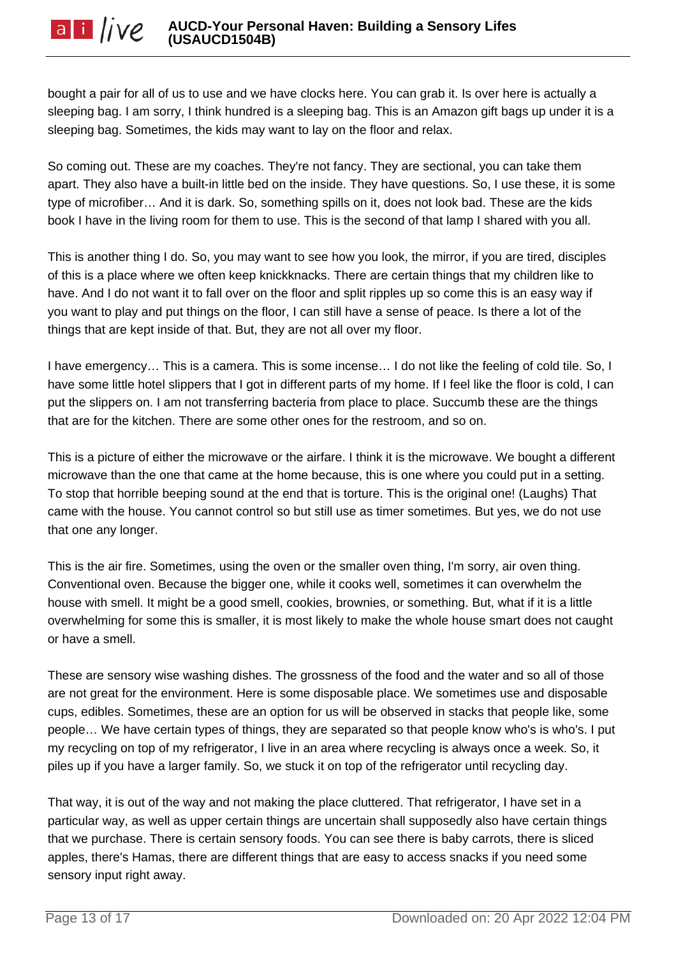bought a pair for all of us to use and we have clocks here. You can grab it. Is over here is actually a sleeping bag. I am sorry, I think hundred is a sleeping bag. This is an Amazon gift bags up under it is a sleeping bag. Sometimes, the kids may want to lay on the floor and relax.

So coming out. These are my coaches. They're not fancy. They are sectional, you can take them apart. They also have a built-in little bed on the inside. They have questions. So, I use these, it is some type of microfiber… And it is dark. So, something spills on it, does not look bad. These are the kids book I have in the living room for them to use. This is the second of that lamp I shared with you all.

This is another thing I do. So, you may want to see how you look, the mirror, if you are tired, disciples of this is a place where we often keep knickknacks. There are certain things that my children like to have. And I do not want it to fall over on the floor and split ripples up so come this is an easy way if you want to play and put things on the floor, I can still have a sense of peace. Is there a lot of the things that are kept inside of that. But, they are not all over my floor.

I have emergency… This is a camera. This is some incense… I do not like the feeling of cold tile. So, I have some little hotel slippers that I got in different parts of my home. If I feel like the floor is cold, I can put the slippers on. I am not transferring bacteria from place to place. Succumb these are the things that are for the kitchen. There are some other ones for the restroom, and so on.

This is a picture of either the microwave or the airfare. I think it is the microwave. We bought a different microwave than the one that came at the home because, this is one where you could put in a setting. To stop that horrible beeping sound at the end that is torture. This is the original one! (Laughs) That came with the house. You cannot control so but still use as timer sometimes. But yes, we do not use that one any longer.

This is the air fire. Sometimes, using the oven or the smaller oven thing, I'm sorry, air oven thing. Conventional oven. Because the bigger one, while it cooks well, sometimes it can overwhelm the house with smell. It might be a good smell, cookies, brownies, or something. But, what if it is a little overwhelming for some this is smaller, it is most likely to make the whole house smart does not caught or have a smell.

These are sensory wise washing dishes. The grossness of the food and the water and so all of those are not great for the environment. Here is some disposable place. We sometimes use and disposable cups, edibles. Sometimes, these are an option for us will be observed in stacks that people like, some people… We have certain types of things, they are separated so that people know who's is who's. I put my recycling on top of my refrigerator, I live in an area where recycling is always once a week. So, it piles up if you have a larger family. So, we stuck it on top of the refrigerator until recycling day.

That way, it is out of the way and not making the place cluttered. That refrigerator, I have set in a particular way, as well as upper certain things are uncertain shall supposedly also have certain things that we purchase. There is certain sensory foods. You can see there is baby carrots, there is sliced apples, there's Hamas, there are different things that are easy to access snacks if you need some sensory input right away.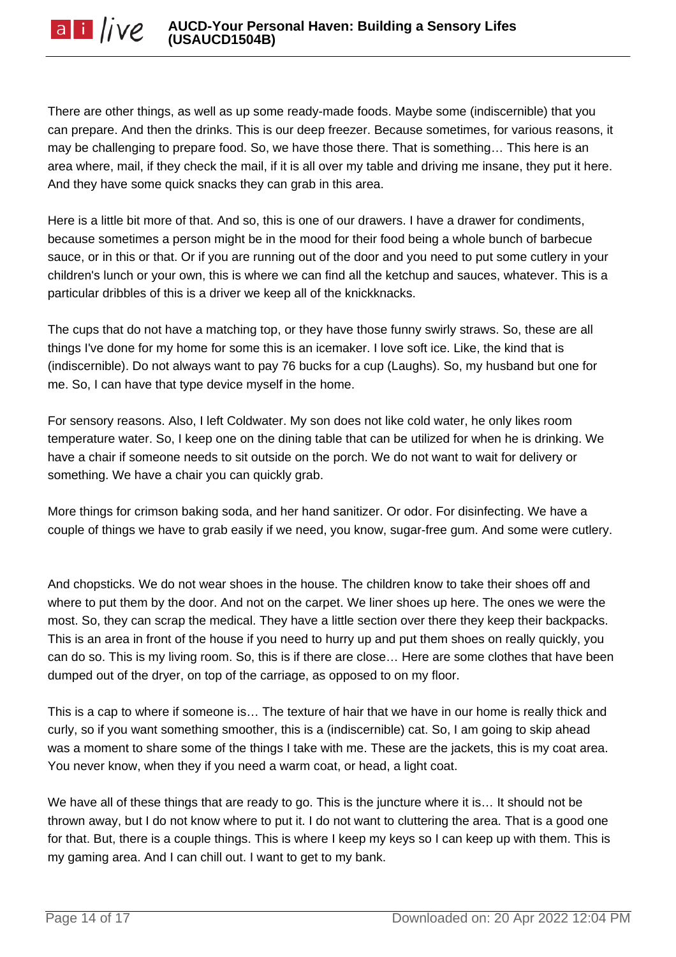There are other things, as well as up some ready-made foods. Maybe some (indiscernible) that you can prepare. And then the drinks. This is our deep freezer. Because sometimes, for various reasons, it may be challenging to prepare food. So, we have those there. That is something… This here is an area where, mail, if they check the mail, if it is all over my table and driving me insane, they put it here. And they have some quick snacks they can grab in this area.

Here is a little bit more of that. And so, this is one of our drawers. I have a drawer for condiments, because sometimes a person might be in the mood for their food being a whole bunch of barbecue sauce, or in this or that. Or if you are running out of the door and you need to put some cutlery in your children's lunch or your own, this is where we can find all the ketchup and sauces, whatever. This is a particular dribbles of this is a driver we keep all of the knickknacks.

The cups that do not have a matching top, or they have those funny swirly straws. So, these are all things I've done for my home for some this is an icemaker. I love soft ice. Like, the kind that is (indiscernible). Do not always want to pay 76 bucks for a cup (Laughs). So, my husband but one for me. So, I can have that type device myself in the home.

For sensory reasons. Also, I left Coldwater. My son does not like cold water, he only likes room temperature water. So, I keep one on the dining table that can be utilized for when he is drinking. We have a chair if someone needs to sit outside on the porch. We do not want to wait for delivery or something. We have a chair you can quickly grab.

More things for crimson baking soda, and her hand sanitizer. Or odor. For disinfecting. We have a couple of things we have to grab easily if we need, you know, sugar-free gum. And some were cutlery.

And chopsticks. We do not wear shoes in the house. The children know to take their shoes off and where to put them by the door. And not on the carpet. We liner shoes up here. The ones we were the most. So, they can scrap the medical. They have a little section over there they keep their backpacks. This is an area in front of the house if you need to hurry up and put them shoes on really quickly, you can do so. This is my living room. So, this is if there are close… Here are some clothes that have been dumped out of the dryer, on top of the carriage, as opposed to on my floor.

This is a cap to where if someone is… The texture of hair that we have in our home is really thick and curly, so if you want something smoother, this is a (indiscernible) cat. So, I am going to skip ahead was a moment to share some of the things I take with me. These are the jackets, this is my coat area. You never know, when they if you need a warm coat, or head, a light coat.

We have all of these things that are ready to go. This is the juncture where it is... It should not be thrown away, but I do not know where to put it. I do not want to cluttering the area. That is a good one for that. But, there is a couple things. This is where I keep my keys so I can keep up with them. This is my gaming area. And I can chill out. I want to get to my bank.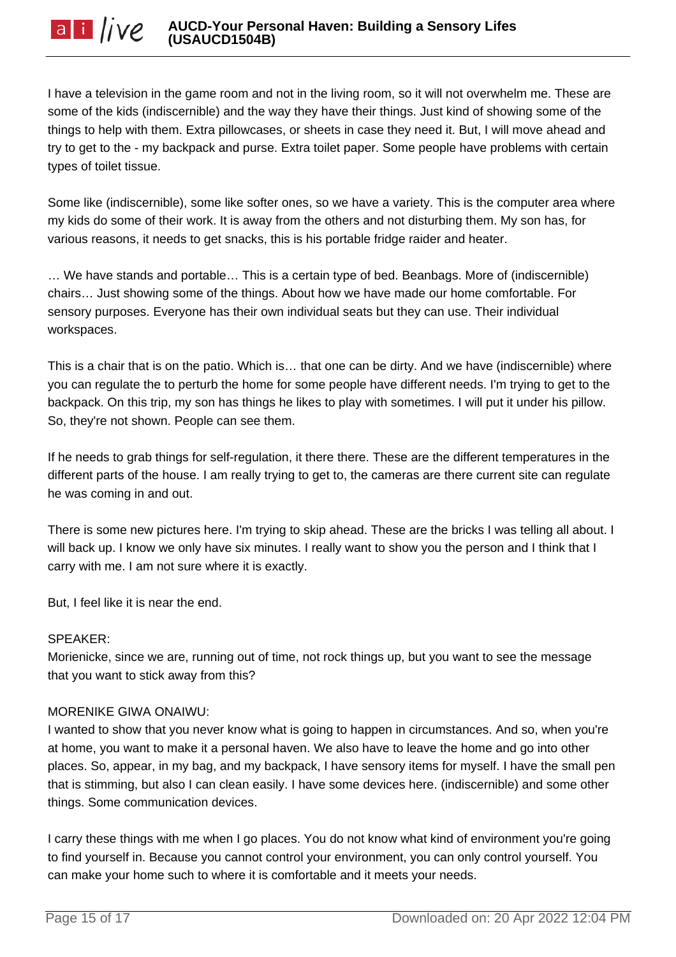I have a television in the game room and not in the living room, so it will not overwhelm me. These are some of the kids (indiscernible) and the way they have their things. Just kind of showing some of the things to help with them. Extra pillowcases, or sheets in case they need it. But, I will move ahead and try to get to the - my backpack and purse. Extra toilet paper. Some people have problems with certain types of toilet tissue.

Some like (indiscernible), some like softer ones, so we have a variety. This is the computer area where my kids do some of their work. It is away from the others and not disturbing them. My son has, for various reasons, it needs to get snacks, this is his portable fridge raider and heater.

… We have stands and portable… This is a certain type of bed. Beanbags. More of (indiscernible) chairs… Just showing some of the things. About how we have made our home comfortable. For sensory purposes. Everyone has their own individual seats but they can use. Their individual workspaces.

This is a chair that is on the patio. Which is… that one can be dirty. And we have (indiscernible) where you can regulate the to perturb the home for some people have different needs. I'm trying to get to the backpack. On this trip, my son has things he likes to play with sometimes. I will put it under his pillow. So, they're not shown. People can see them.

If he needs to grab things for self-regulation, it there there. These are the different temperatures in the different parts of the house. I am really trying to get to, the cameras are there current site can regulate he was coming in and out.

There is some new pictures here. I'm trying to skip ahead. These are the bricks I was telling all about. I will back up. I know we only have six minutes. I really want to show you the person and I think that I carry with me. I am not sure where it is exactly.

But, I feel like it is near the end.

## SPEAKER:

Morienicke, since we are, running out of time, not rock things up, but you want to see the message that you want to stick away from this?

## MORENIKE GIWA ONAIWU:

I wanted to show that you never know what is going to happen in circumstances. And so, when you're at home, you want to make it a personal haven. We also have to leave the home and go into other places. So, appear, in my bag, and my backpack, I have sensory items for myself. I have the small pen that is stimming, but also I can clean easily. I have some devices here. (indiscernible) and some other things. Some communication devices.

I carry these things with me when I go places. You do not know what kind of environment you're going to find yourself in. Because you cannot control your environment, you can only control yourself. You can make your home such to where it is comfortable and it meets your needs.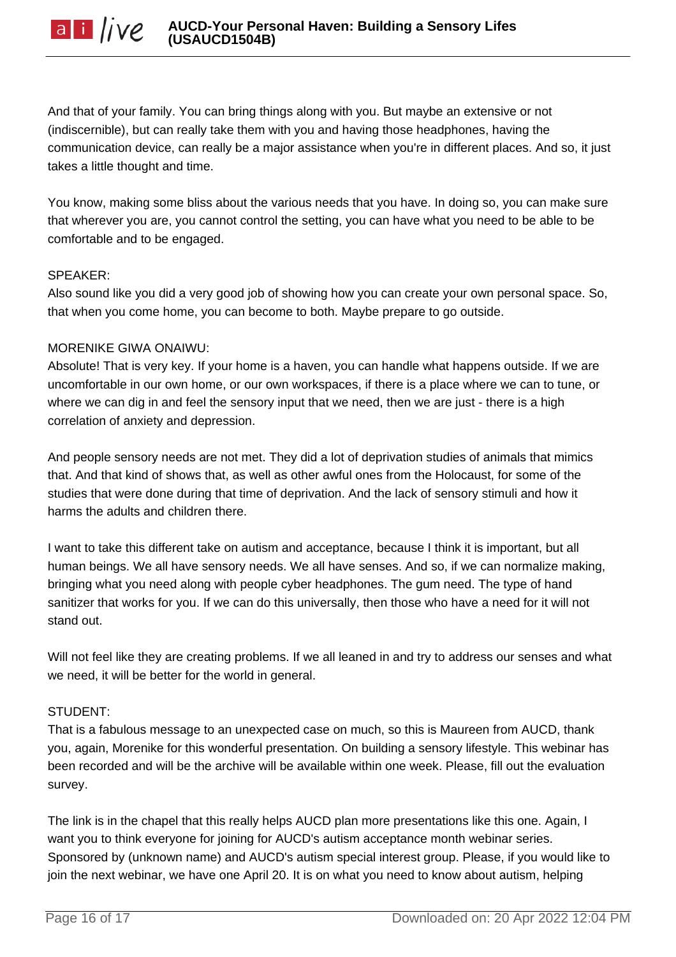And that of your family. You can bring things along with you. But maybe an extensive or not (indiscernible), but can really take them with you and having those headphones, having the communication device, can really be a major assistance when you're in different places. And so, it just takes a little thought and time.

You know, making some bliss about the various needs that you have. In doing so, you can make sure that wherever you are, you cannot control the setting, you can have what you need to be able to be comfortable and to be engaged.

# SPEAKER:

Also sound like you did a very good job of showing how you can create your own personal space. So, that when you come home, you can become to both. Maybe prepare to go outside.

# MORENIKE GIWA ONAIWU:

Absolute! That is very key. If your home is a haven, you can handle what happens outside. If we are uncomfortable in our own home, or our own workspaces, if there is a place where we can to tune, or where we can dig in and feel the sensory input that we need, then we are just - there is a high correlation of anxiety and depression.

And people sensory needs are not met. They did a lot of deprivation studies of animals that mimics that. And that kind of shows that, as well as other awful ones from the Holocaust, for some of the studies that were done during that time of deprivation. And the lack of sensory stimuli and how it harms the adults and children there.

I want to take this different take on autism and acceptance, because I think it is important, but all human beings. We all have sensory needs. We all have senses. And so, if we can normalize making, bringing what you need along with people cyber headphones. The gum need. The type of hand sanitizer that works for you. If we can do this universally, then those who have a need for it will not stand out.

Will not feel like they are creating problems. If we all leaned in and try to address our senses and what we need, it will be better for the world in general.

## STUDENT:

That is a fabulous message to an unexpected case on much, so this is Maureen from AUCD, thank you, again, Morenike for this wonderful presentation. On building a sensory lifestyle. This webinar has been recorded and will be the archive will be available within one week. Please, fill out the evaluation survey.

The link is in the chapel that this really helps AUCD plan more presentations like this one. Again, I want you to think everyone for joining for AUCD's autism acceptance month webinar series. Sponsored by (unknown name) and AUCD's autism special interest group. Please, if you would like to join the next webinar, we have one April 20. It is on what you need to know about autism, helping